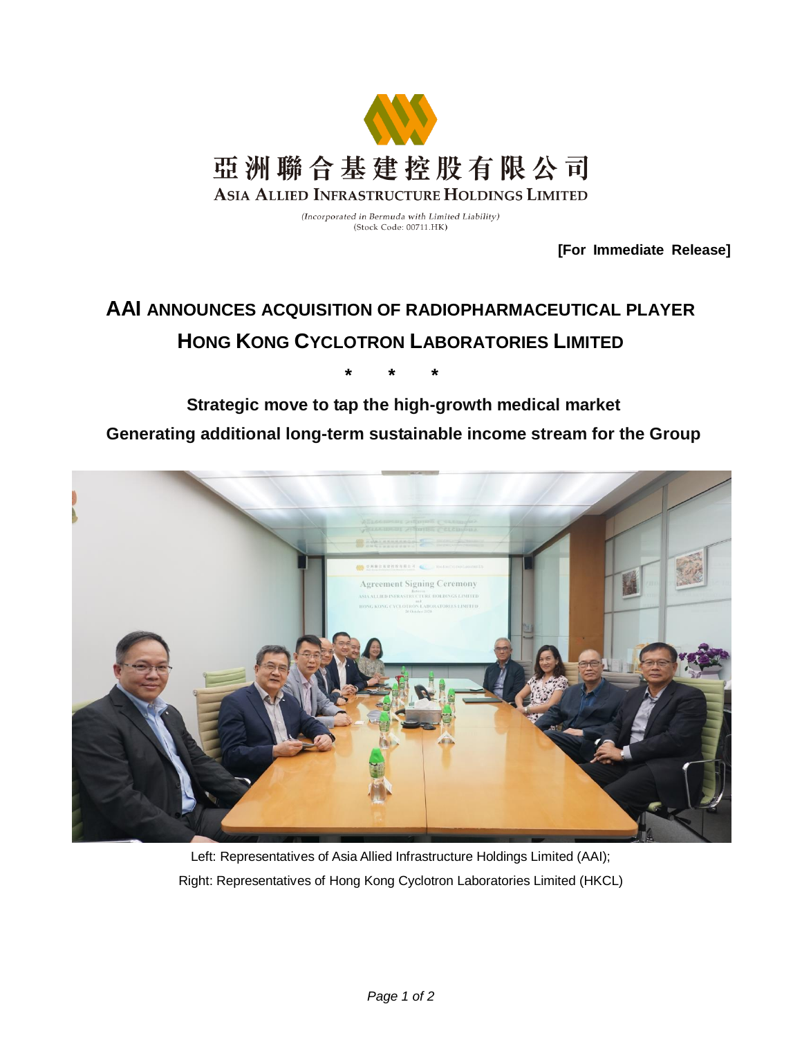

(Incorporated in Bermuda with Limited Liability) (Stock Code: 00711.HK)

**[For Immediate Release]**

# **AAI ANNOUNCES ACQUISITION OF RADIOPHARMACEUTICAL PLAYER HONG KONG CYCLOTRON LABORATORIES LIMITED**

**\* \* \***

## **Strategic move to tap the high-growth medical market Generating additional long-term sustainable income stream for the Group**



Left: Representatives of Asia Allied Infrastructure Holdings Limited (AAI); Right: Representatives of Hong Kong Cyclotron Laboratories Limited (HKCL)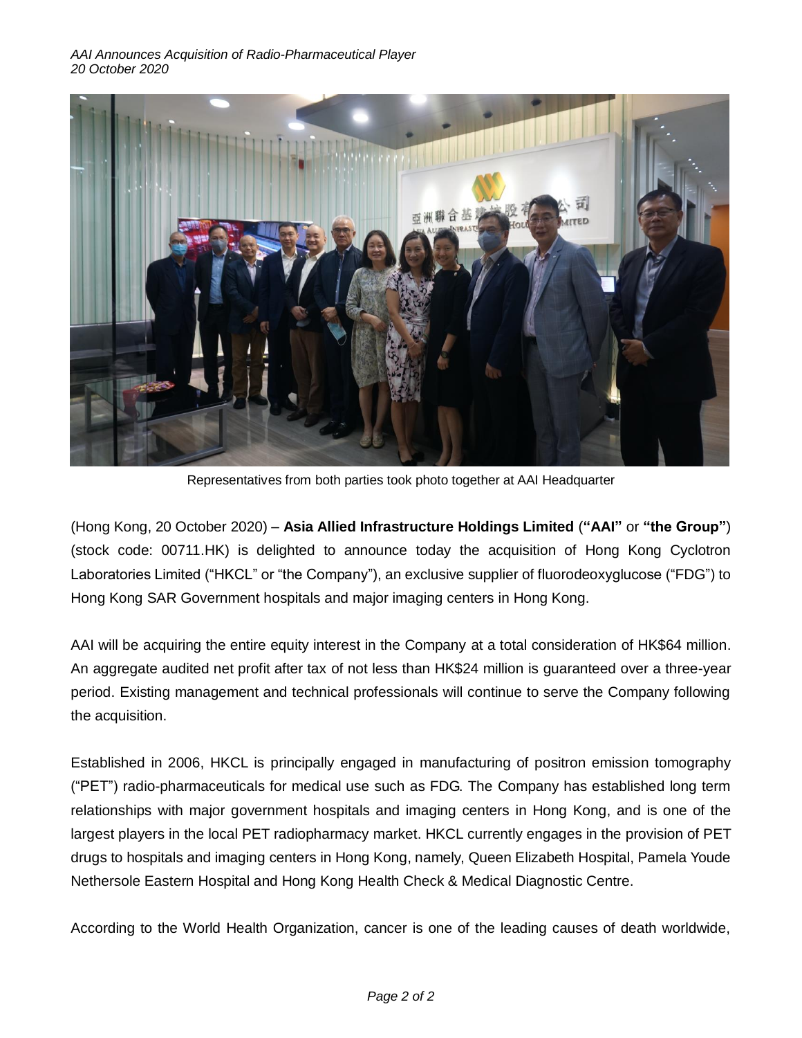

Representatives from both parties took photo together at AAI Headquarter

(Hong Kong, 20 October 2020) – **Asia Allied Infrastructure Holdings Limited** (**"AAI"** or **"the Group"**) (stock code: 00711.HK) is delighted to announce today the acquisition of Hong Kong Cyclotron Laboratories Limited ("HKCL" or "the Company"), an exclusive supplier of fluorodeoxyglucose ("FDG") to Hong Kong SAR Government hospitals and major imaging centers in Hong Kong.

AAI will be acquiring the entire equity interest in the Company at a total consideration of HK\$64 million. An aggregate audited net profit after tax of not less than HK\$24 million is guaranteed over a three-year period. Existing management and technical professionals will continue to serve the Company following the acquisition.

Established in 2006, HKCL is principally engaged in manufacturing of positron emission tomography ("PET") radio-pharmaceuticals for medical use such as FDG. The Company has established long term relationships with major government hospitals and imaging centers in Hong Kong, and is one of the largest players in the local PET radiopharmacy market. HKCL currently engages in the provision of PET drugs to hospitals and imaging centers in Hong Kong, namely, Queen Elizabeth Hospital, Pamela Youde Nethersole Eastern Hospital and Hong Kong Health Check & Medical Diagnostic Centre.

According to the World Health Organization, cancer is one of the leading causes of death worldwide,